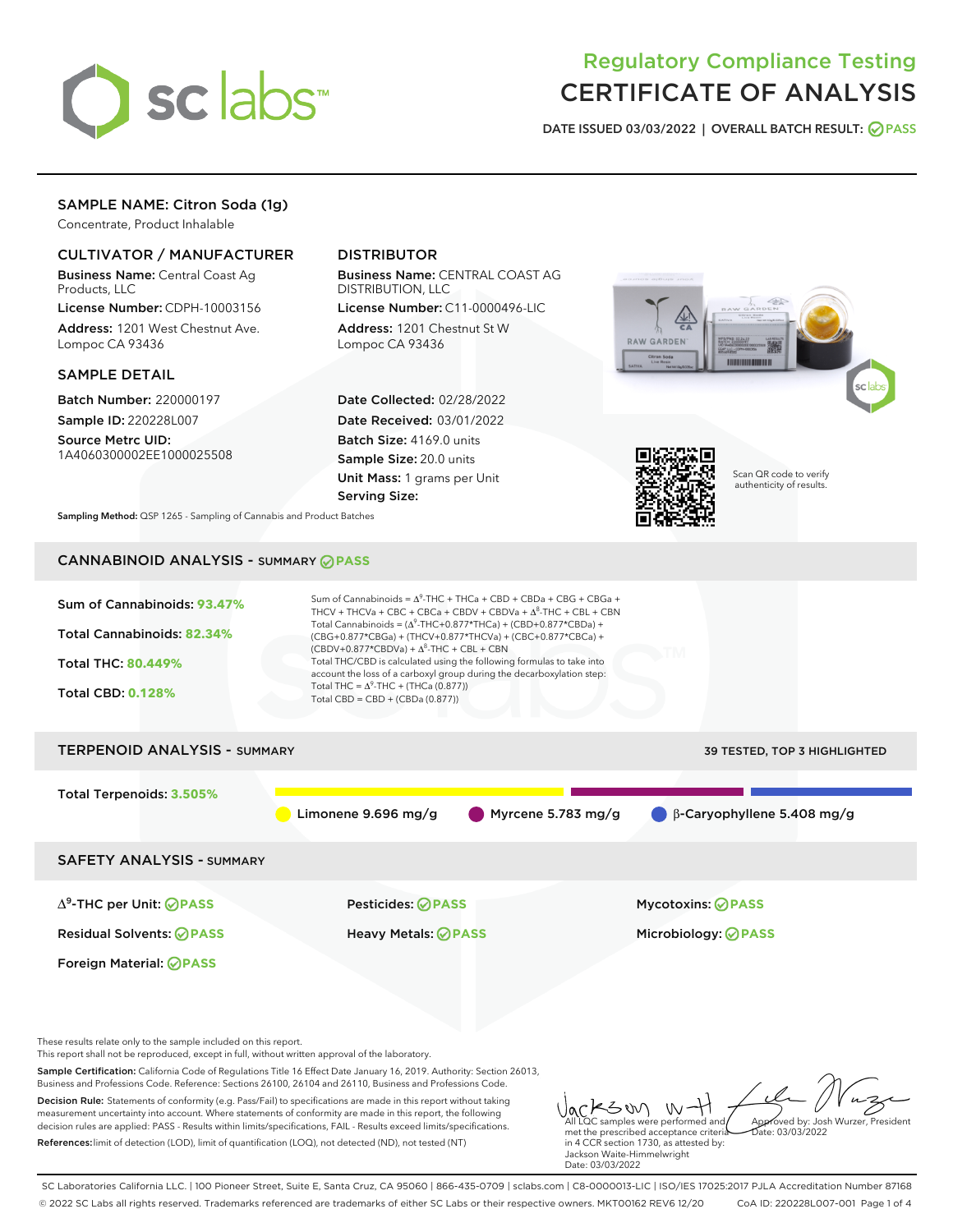

# Regulatory Compliance Testing CERTIFICATE OF ANALYSIS

DATE ISSUED 03/03/2022 | OVERALL BATCH RESULT: @ PASS

## SAMPLE NAME: Citron Soda (1g)

Concentrate, Product Inhalable

## CULTIVATOR / MANUFACTURER

Business Name: Central Coast Ag Products, LLC

License Number: CDPH-10003156 Address: 1201 West Chestnut Ave. Lompoc CA 93436

### SAMPLE DETAIL

Batch Number: 220000197 Sample ID: 220228L007

Source Metrc UID: 1A4060300002EE1000025508

## DISTRIBUTOR

Business Name: CENTRAL COAST AG DISTRIBUTION, LLC

License Number: C11-0000496-LIC Address: 1201 Chestnut St W Lompoc CA 93436

Date Collected: 02/28/2022 Date Received: 03/01/2022 Batch Size: 4169.0 units Sample Size: 20.0 units Unit Mass: 1 grams per Unit Serving Size:





Scan QR code to verify authenticity of results.

Approved by: Josh Wurzer, President

 $hat: 03/03/2022$ 

Sampling Method: QSP 1265 - Sampling of Cannabis and Product Batches

## CANNABINOID ANALYSIS - SUMMARY **PASS**



measurement uncertainty into account. Where statements of conformity are made in this report, the following decision rules are applied: PASS - Results within limits/specifications, FAIL - Results exceed limits/specifications. References:limit of detection (LOD), limit of quantification (LOQ), not detected (ND), not tested (NT)

met the prescribed acceptance criteria in 4 CCR section 1730, as attested by: Jackson Waite-Himmelwright Date: 03/03/2022

All LQC samples were performed and

SC Laboratories California LLC. | 100 Pioneer Street, Suite E, Santa Cruz, CA 95060 | 866-435-0709 | sclabs.com | C8-0000013-LIC | ISO/IES 17025:2017 PJLA Accreditation Number 87168 © 2022 SC Labs all rights reserved. Trademarks referenced are trademarks of either SC Labs or their respective owners. MKT00162 REV6 12/20 CoA ID: 220228L007-001 Page 1 of 4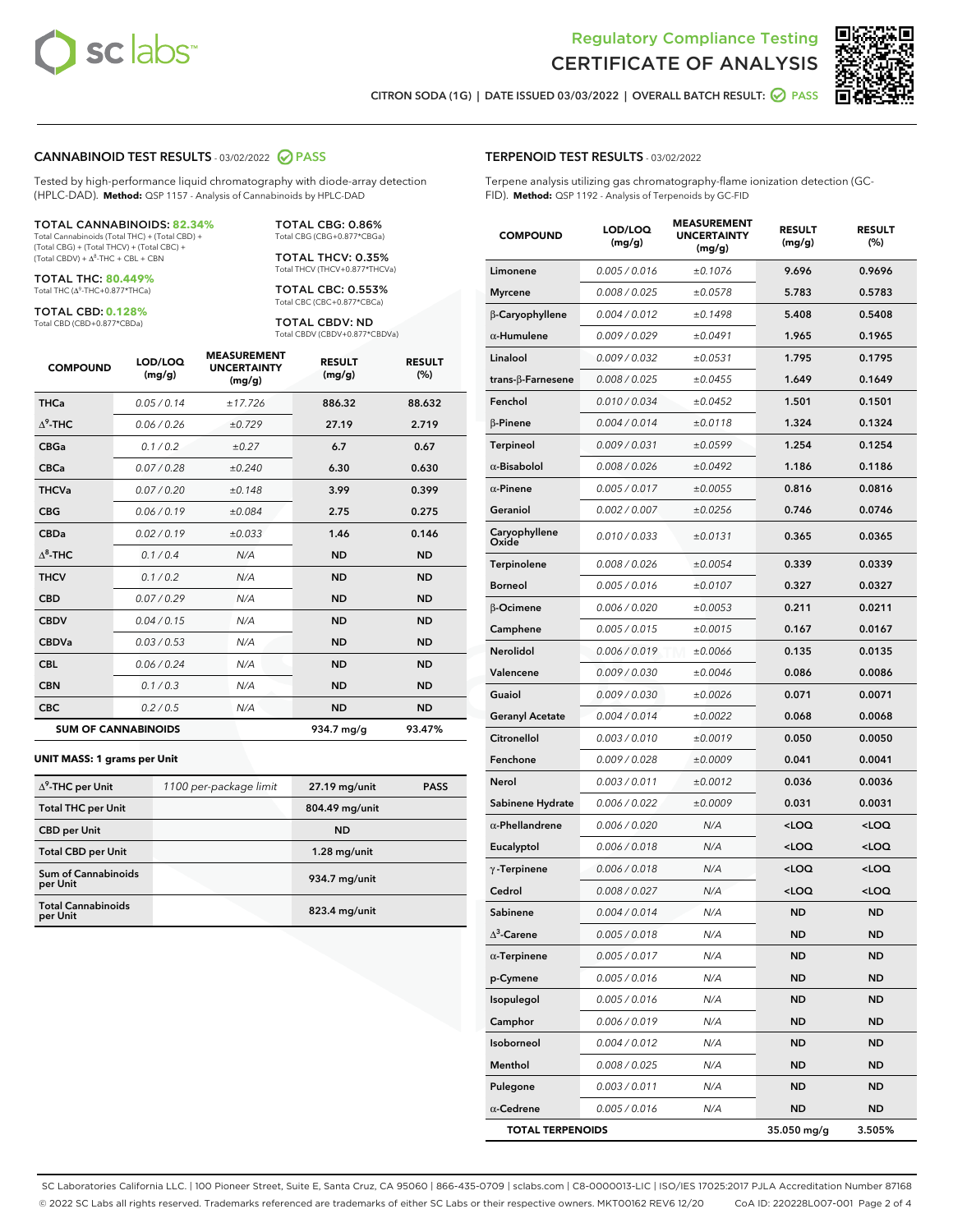



CITRON SODA (1G) | DATE ISSUED 03/03/2022 | OVERALL BATCH RESULT: @ PASS

#### CANNABINOID TEST RESULTS - 03/02/2022 2 PASS

Tested by high-performance liquid chromatography with diode-array detection (HPLC-DAD). **Method:** QSP 1157 - Analysis of Cannabinoids by HPLC-DAD

#### TOTAL CANNABINOIDS: **82.34%**

Total Cannabinoids (Total THC) + (Total CBD) + (Total CBG) + (Total THCV) + (Total CBC) +  $(Total CBDV) +  $\Delta^8$ -THC + CBL + CBN$ 

TOTAL THC: **80.449%** Total THC (Δ<sup>9</sup>-THC+0.877\*THCa)

TOTAL CBD: **0.128%**

Total CBD (CBD+0.877\*CBDa)

TOTAL CBG: 0.86% Total CBG (CBG+0.877\*CBGa)

TOTAL THCV: 0.35% Total THCV (THCV+0.877\*THCVa)

TOTAL CBC: 0.553% Total CBC (CBC+0.877\*CBCa)

TOTAL CBDV: ND Total CBDV (CBDV+0.877\*CBDVa)

| <b>COMPOUND</b>  | LOD/LOQ<br>(mg/g)          | <b>MEASUREMENT</b><br><b>UNCERTAINTY</b><br>(mg/g) | <b>RESULT</b><br>(mg/g) | <b>RESULT</b><br>(%) |
|------------------|----------------------------|----------------------------------------------------|-------------------------|----------------------|
| <b>THCa</b>      | 0.05 / 0.14                | ±17.726                                            | 886.32                  | 88.632               |
| $\Lambda^9$ -THC | 0.06 / 0.26                | ±0.729                                             | 27.19                   | 2.719                |
| <b>CBGa</b>      | 0.1/0.2                    | ±0.27                                              | 6.7                     | 0.67                 |
| <b>CBCa</b>      | 0.07 / 0.28                | ±0.240                                             | 6.30                    | 0.630                |
| <b>THCVa</b>     | 0.07/0.20                  | ±0.148                                             | 3.99                    | 0.399                |
| <b>CBG</b>       | 0.06/0.19                  | ±0.084                                             | 2.75                    | 0.275                |
| <b>CBDa</b>      | 0.02/0.19                  | ±0.033                                             | 1.46                    | 0.146                |
| $\Lambda^8$ -THC | 0.1/0.4                    | N/A                                                | <b>ND</b>               | <b>ND</b>            |
| <b>THCV</b>      | 0.1/0.2                    | N/A                                                | <b>ND</b>               | <b>ND</b>            |
| <b>CBD</b>       | 0.07/0.29                  | N/A                                                | <b>ND</b>               | <b>ND</b>            |
| <b>CBDV</b>      | 0.04 / 0.15                | N/A                                                | <b>ND</b>               | <b>ND</b>            |
| <b>CBDVa</b>     | 0.03/0.53                  | N/A                                                | <b>ND</b>               | <b>ND</b>            |
| <b>CBL</b>       | 0.06 / 0.24                | N/A                                                | <b>ND</b>               | <b>ND</b>            |
| <b>CBN</b>       | 0.1 / 0.3                  | N/A                                                | <b>ND</b>               | <b>ND</b>            |
| <b>CBC</b>       | 0.2 / 0.5                  | N/A                                                | <b>ND</b>               | <b>ND</b>            |
|                  | <b>SUM OF CANNABINOIDS</b> |                                                    | 934.7 mg/g              | 93.47%               |

#### **UNIT MASS: 1 grams per Unit**

| $\Delta^9$ -THC per Unit              | 1100 per-package limit | 27.19 mg/unit   | <b>PASS</b> |
|---------------------------------------|------------------------|-----------------|-------------|
| <b>Total THC per Unit</b>             |                        | 804.49 mg/unit  |             |
| <b>CBD per Unit</b>                   |                        | <b>ND</b>       |             |
| <b>Total CBD per Unit</b>             |                        | $1.28$ mg/unit  |             |
| Sum of Cannabinoids<br>per Unit       |                        | 934.7 mg/unit   |             |
| <b>Total Cannabinoids</b><br>per Unit |                        | $823.4$ mg/unit |             |

| <b>COMPOUND</b>           | LOD/LOQ<br>(mg/g) | <b>MEASUREMENT</b><br><b>UNCERTAINTY</b><br>(mg/g) | <b>RESULT</b><br>(mg/g)                         | <b>RESULT</b><br>$(\%)$ |
|---------------------------|-------------------|----------------------------------------------------|-------------------------------------------------|-------------------------|
| Limonene                  | 0.005 / 0.016     | ±0.1076                                            | 9.696                                           | 0.9696                  |
| <b>Myrcene</b>            | 0.008 / 0.025     | ±0.0578                                            | 5.783                                           | 0.5783                  |
| β-Caryophyllene           | 0.004 / 0.012     | ±0.1498                                            | 5.408                                           | 0.5408                  |
| $\alpha$ -Humulene        | 0.009 / 0.029     | ±0.0491                                            | 1.965                                           | 0.1965                  |
| Linalool                  | 0.009 / 0.032     | ±0.0531                                            | 1.795                                           | 0.1795                  |
| trans- $\beta$ -Farnesene | 0.008 / 0.025     | ±0.0455                                            | 1.649                                           | 0.1649                  |
| Fenchol                   | 0.010 / 0.034     | ±0.0452                                            | 1.501                                           | 0.1501                  |
| <b>B-Pinene</b>           | 0.004 / 0.014     | ±0.0118                                            | 1.324                                           | 0.1324                  |
| Terpineol                 | 0.009 / 0.031     | ±0.0599                                            | 1.254                                           | 0.1254                  |
| $\alpha$ -Bisabolol       | 0.008 / 0.026     | ±0.0492                                            | 1.186                                           | 0.1186                  |
| $\alpha$ -Pinene          | 0.005 / 0.017     | ±0.0055                                            | 0.816                                           | 0.0816                  |
| Geraniol                  | 0.002 / 0.007     | ±0.0256                                            | 0.746                                           | 0.0746                  |
| Caryophyllene<br>Oxide    | 0.010 / 0.033     | ±0.0131                                            | 0.365                                           | 0.0365                  |
| Terpinolene               | 0.008 / 0.026     | ±0.0054                                            | 0.339                                           | 0.0339                  |
| <b>Borneol</b>            | 0.005 / 0.016     | ±0.0107                                            | 0.327                                           | 0.0327                  |
| β-Ocimene                 | 0.006 / 0.020     | ±0.0053                                            | 0.211                                           | 0.0211                  |
| Camphene                  | 0.005 / 0.015     | ±0.0015                                            | 0.167                                           | 0.0167                  |
| <b>Nerolidol</b>          | 0.006 / 0.019     | ±0.0066                                            | 0.135                                           | 0.0135                  |
| Valencene                 | 0.009 / 0.030     | ±0.0046                                            | 0.086                                           | 0.0086                  |
| Guaiol                    | 0.009 / 0.030     | ±0.0026                                            | 0.071                                           | 0.0071                  |
| <b>Geranyl Acetate</b>    | 0.004 / 0.014     | ±0.0022                                            | 0.068                                           | 0.0068                  |
| Citronellol               | 0.003 / 0.010     | ±0.0019                                            | 0.050                                           | 0.0050                  |
| Fenchone                  | 0.009 / 0.028     | ±0.0009                                            | 0.041                                           | 0.0041                  |
| Nerol                     | 0.003 / 0.011     | ±0.0012                                            | 0.036                                           | 0.0036                  |
| Sabinene Hydrate          | 0.006 / 0.022     | ±0.0009                                            | 0.031                                           | 0.0031                  |
| $\alpha$ -Phellandrene    | 0.006 / 0.020     | N/A                                                | <loq< th=""><th><loq< th=""></loq<></th></loq<> | <loq< th=""></loq<>     |
| Eucalyptol                | 0.006 / 0.018     | N/A                                                | <loq< th=""><th><loq< th=""></loq<></th></loq<> | <loq< th=""></loq<>     |
| $\gamma$ -Terpinene       | 0.006 / 0.018     | N/A                                                | <loq< th=""><th><loq< th=""></loq<></th></loq<> | <loq< th=""></loq<>     |
| Cedrol                    | 0.008 / 0.027     | N/A                                                | <loq< th=""><th><loq< th=""></loq<></th></loq<> | <loq< th=""></loq<>     |
| Sabinene                  | 0.004 / 0.014     | N/A                                                | <b>ND</b>                                       | <b>ND</b>               |
| $\Delta^3$ -Carene        | 0.005 / 0.018     | N/A                                                | ND                                              | ND                      |
| $\alpha$ -Terpinene       | 0.005 / 0.017     | N/A                                                | ND.                                             | <b>ND</b>               |
| p-Cymene                  | 0.005 / 0.016     | N/A                                                | ND.                                             | ND                      |
| Isopulegol                | 0.005 / 0.016     | N/A                                                | ND                                              | ND                      |
| Camphor                   | 0.006 / 0.019     | N/A                                                | ND                                              | ND                      |
| Isoborneol                | 0.004 / 0.012     | N/A                                                | <b>ND</b>                                       | ND                      |
| Menthol                   | 0.008 / 0.025     | N/A                                                | ND                                              | ND                      |
| Pulegone                  | 0.003 / 0.011     | N/A                                                | ND                                              | ND                      |
| $\alpha$ -Cedrene         | 0.005 / 0.016     | N/A                                                | ND                                              | ND                      |
| <b>TOTAL TERPENOIDS</b>   |                   |                                                    | 35.050 mg/g                                     | 3.505%                  |

SC Laboratories California LLC. | 100 Pioneer Street, Suite E, Santa Cruz, CA 95060 | 866-435-0709 | sclabs.com | C8-0000013-LIC | ISO/IES 17025:2017 PJLA Accreditation Number 87168 © 2022 SC Labs all rights reserved. Trademarks referenced are trademarks of either SC Labs or their respective owners. MKT00162 REV6 12/20 CoA ID: 220228L007-001 Page 2 of 4

## TERPENOID TEST RESULTS - 03/02/2022

Terpene analysis utilizing gas chromatography-flame ionization detection (GC-FID). **Method:** QSP 1192 - Analysis of Terpenoids by GC-FID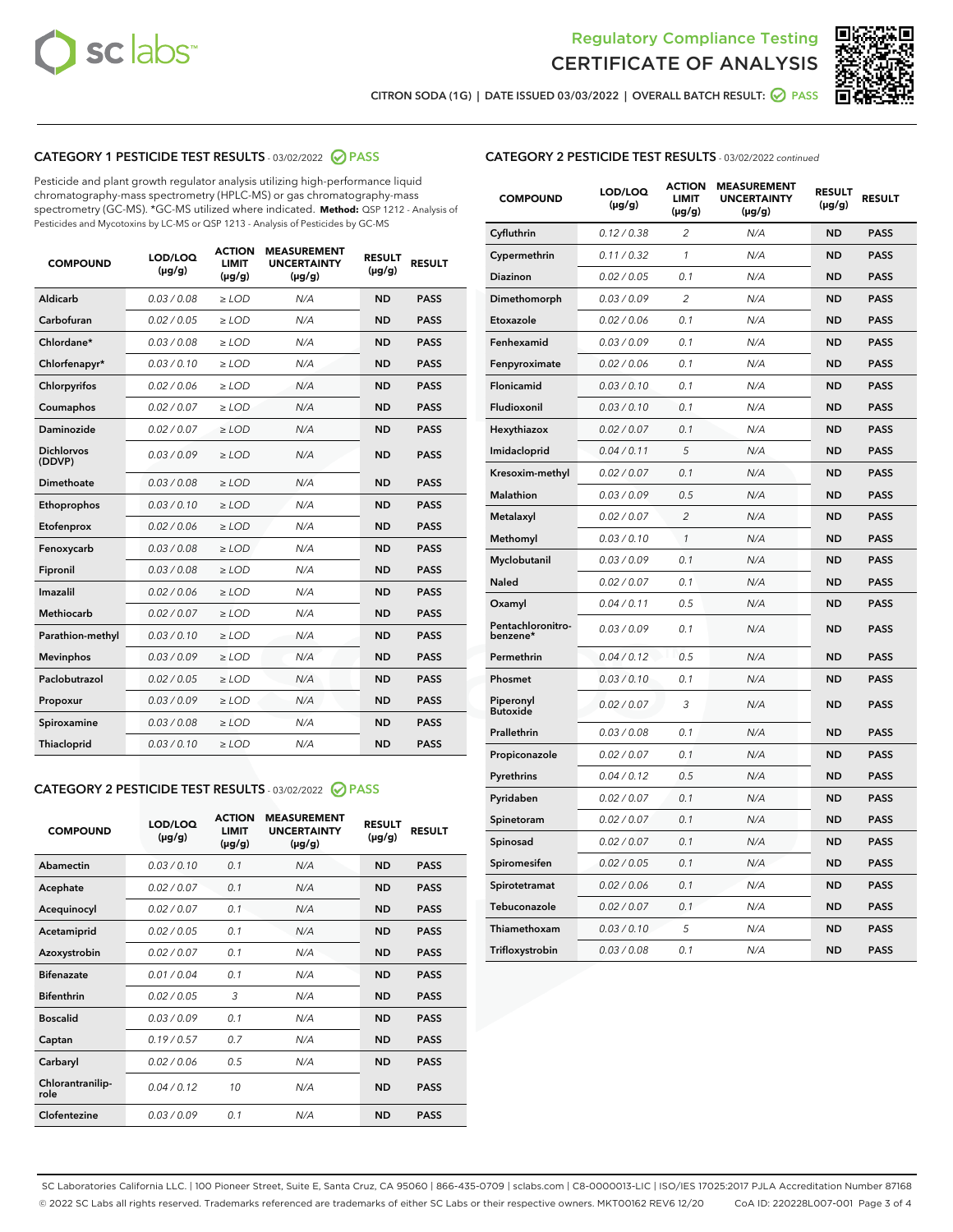



CITRON SODA (1G) | DATE ISSUED 03/03/2022 | OVERALL BATCH RESULT:  $\bigcirc$  PASS

## CATEGORY 1 PESTICIDE TEST RESULTS - 03/02/2022 2 PASS

Pesticide and plant growth regulator analysis utilizing high-performance liquid chromatography-mass spectrometry (HPLC-MS) or gas chromatography-mass spectrometry (GC-MS). \*GC-MS utilized where indicated. **Method:** QSP 1212 - Analysis of Pesticides and Mycotoxins by LC-MS or QSP 1213 - Analysis of Pesticides by GC-MS

| <b>COMPOUND</b>             | LOD/LOQ<br>$(\mu g/g)$ | <b>ACTION</b><br><b>LIMIT</b><br>$(\mu g/g)$ | <b>MEASUREMENT</b><br><b>UNCERTAINTY</b><br>$(\mu g/g)$ | <b>RESULT</b><br>$(\mu g/g)$ | <b>RESULT</b> |
|-----------------------------|------------------------|----------------------------------------------|---------------------------------------------------------|------------------------------|---------------|
| Aldicarb                    | 0.03 / 0.08            | $\ge$ LOD                                    | N/A                                                     | <b>ND</b>                    | <b>PASS</b>   |
| Carbofuran                  | 0.02 / 0.05            | $>$ LOD                                      | N/A                                                     | <b>ND</b>                    | <b>PASS</b>   |
| Chlordane*                  | 0.03 / 0.08            | $\ge$ LOD                                    | N/A                                                     | <b>ND</b>                    | <b>PASS</b>   |
| Chlorfenapyr*               | 0.03/0.10              | $\ge$ LOD                                    | N/A                                                     | <b>ND</b>                    | <b>PASS</b>   |
| Chlorpyrifos                | 0.02/0.06              | $>$ LOD                                      | N/A                                                     | <b>ND</b>                    | <b>PASS</b>   |
| Coumaphos                   | 0.02 / 0.07            | $\ge$ LOD                                    | N/A                                                     | <b>ND</b>                    | <b>PASS</b>   |
| Daminozide                  | 0.02 / 0.07            | $\ge$ LOD                                    | N/A                                                     | <b>ND</b>                    | <b>PASS</b>   |
| <b>Dichlorvos</b><br>(DDVP) | 0.03/0.09              | $\ge$ LOD                                    | N/A                                                     | <b>ND</b>                    | <b>PASS</b>   |
| Dimethoate                  | 0.03 / 0.08            | $>$ LOD                                      | N/A                                                     | <b>ND</b>                    | <b>PASS</b>   |
| Ethoprophos                 | 0.03/0.10              | $>$ LOD                                      | N/A                                                     | <b>ND</b>                    | <b>PASS</b>   |
| Etofenprox                  | 0.02 / 0.06            | $\ge$ LOD                                    | N/A                                                     | <b>ND</b>                    | <b>PASS</b>   |
| Fenoxycarb                  | 0.03 / 0.08            | $\ge$ LOD                                    | N/A                                                     | <b>ND</b>                    | <b>PASS</b>   |
| Fipronil                    | 0.03 / 0.08            | $\ge$ LOD                                    | N/A                                                     | <b>ND</b>                    | <b>PASS</b>   |
| Imazalil                    | 0.02 / 0.06            | $\ge$ LOD                                    | N/A                                                     | <b>ND</b>                    | <b>PASS</b>   |
| <b>Methiocarb</b>           | 0.02 / 0.07            | $\ge$ LOD                                    | N/A                                                     | <b>ND</b>                    | <b>PASS</b>   |
| Parathion-methyl            | 0.03/0.10              | $>$ LOD                                      | N/A                                                     | <b>ND</b>                    | <b>PASS</b>   |
| <b>Mevinphos</b>            | 0.03/0.09              | $\ge$ LOD                                    | N/A                                                     | <b>ND</b>                    | <b>PASS</b>   |
| Paclobutrazol               | 0.02 / 0.05            | $\ge$ LOD                                    | N/A                                                     | <b>ND</b>                    | <b>PASS</b>   |
| Propoxur                    | 0.03/0.09              | $>$ LOD                                      | N/A                                                     | <b>ND</b>                    | <b>PASS</b>   |
| Spiroxamine                 | 0.03 / 0.08            | $\ge$ LOD                                    | N/A                                                     | <b>ND</b>                    | <b>PASS</b>   |
| Thiacloprid                 | 0.03/0.10              | $\ge$ LOD                                    | N/A                                                     | <b>ND</b>                    | <b>PASS</b>   |

## CATEGORY 2 PESTICIDE TEST RESULTS - 03/02/2022 2 PASS

| <b>COMPOUND</b>          | LOD/LOO<br>$(\mu g/g)$ | <b>ACTION</b><br><b>LIMIT</b><br>$(\mu g/g)$ | <b>MEASUREMENT</b><br><b>UNCERTAINTY</b><br>$(\mu g/g)$ | <b>RESULT</b><br>$(\mu g/g)$ | <b>RESULT</b> |  |
|--------------------------|------------------------|----------------------------------------------|---------------------------------------------------------|------------------------------|---------------|--|
| Abamectin                | 0.03/0.10              | 0.1                                          | N/A                                                     | <b>ND</b>                    | <b>PASS</b>   |  |
| Acephate                 | 0.02 / 0.07            | 0.1                                          | N/A                                                     | <b>ND</b>                    | <b>PASS</b>   |  |
| Acequinocyl              | 0.02/0.07              | 0.1                                          | N/A                                                     | <b>ND</b>                    | <b>PASS</b>   |  |
| Acetamiprid              | 0.02/0.05              | 0.1                                          | N/A                                                     | <b>ND</b>                    | <b>PASS</b>   |  |
| Azoxystrobin             | 0.02 / 0.07            | 0.1                                          | N/A                                                     | <b>ND</b>                    | <b>PASS</b>   |  |
| <b>Bifenazate</b>        | 0.01/0.04              | 0.1                                          | N/A                                                     | <b>ND</b>                    | <b>PASS</b>   |  |
| <b>Bifenthrin</b>        | 0.02/0.05              | 3                                            | N/A                                                     | <b>ND</b>                    | <b>PASS</b>   |  |
| <b>Boscalid</b>          | 0.03/0.09              | 0.1                                          | N/A                                                     | <b>ND</b>                    | <b>PASS</b>   |  |
| Captan                   | 0.19/0.57              | 0.7                                          | N/A                                                     | <b>ND</b>                    | <b>PASS</b>   |  |
| Carbaryl                 | 0.02/0.06              | 0.5                                          | N/A                                                     | <b>ND</b>                    | <b>PASS</b>   |  |
| Chlorantranilip-<br>role | 0.04/0.12              | 10                                           | N/A                                                     | <b>ND</b>                    | <b>PASS</b>   |  |
| Clofentezine             | 0.03/0.09              | 0.1                                          | N/A                                                     | <b>ND</b>                    | <b>PASS</b>   |  |

## CATEGORY 2 PESTICIDE TEST RESULTS - 03/02/2022 continued

| <b>COMPOUND</b>               | LOD/LOQ<br>(µg/g) | <b>ACTION</b><br>LIMIT<br>(µg/g) | <b>MEASUREMENT</b><br><b>UNCERTAINTY</b><br>$(\mu g/g)$ | <b>RESULT</b><br>$(\mu g/g)$ | <b>RESULT</b> |
|-------------------------------|-------------------|----------------------------------|---------------------------------------------------------|------------------------------|---------------|
| Cyfluthrin                    | 0.12 / 0.38       | 2                                | N/A                                                     | <b>ND</b>                    | <b>PASS</b>   |
| Cypermethrin                  | 0.11 / 0.32       | 1                                | N/A                                                     | <b>ND</b>                    | <b>PASS</b>   |
| <b>Diazinon</b>               | 0.02 / 0.05       | 0.1                              | N/A                                                     | <b>ND</b>                    | <b>PASS</b>   |
| Dimethomorph                  | 0.03 / 0.09       | 2                                | N/A                                                     | <b>ND</b>                    | <b>PASS</b>   |
| Etoxazole                     | 0.02 / 0.06       | 0.1                              | N/A                                                     | <b>ND</b>                    | <b>PASS</b>   |
| Fenhexamid                    | 0.03 / 0.09       | 0.1                              | N/A                                                     | <b>ND</b>                    | <b>PASS</b>   |
| Fenpyroximate                 | 0.02 / 0.06       | 0.1                              | N/A                                                     | <b>ND</b>                    | <b>PASS</b>   |
| Flonicamid                    | 0.03 / 0.10       | 0.1                              | N/A                                                     | <b>ND</b>                    | <b>PASS</b>   |
| Fludioxonil                   | 0.03 / 0.10       | 0.1                              | N/A                                                     | <b>ND</b>                    | <b>PASS</b>   |
| Hexythiazox                   | 0.02 / 0.07       | 0.1                              | N/A                                                     | <b>ND</b>                    | <b>PASS</b>   |
| Imidacloprid                  | 0.04 / 0.11       | 5                                | N/A                                                     | <b>ND</b>                    | <b>PASS</b>   |
| Kresoxim-methyl               | 0.02 / 0.07       | 0.1                              | N/A                                                     | <b>ND</b>                    | <b>PASS</b>   |
| <b>Malathion</b>              | 0.03 / 0.09       | 0.5                              | N/A                                                     | <b>ND</b>                    | <b>PASS</b>   |
| Metalaxyl                     | 0.02 / 0.07       | $\overline{c}$                   | N/A                                                     | <b>ND</b>                    | <b>PASS</b>   |
| Methomyl                      | 0.03 / 0.10       | 1                                | N/A                                                     | <b>ND</b>                    | <b>PASS</b>   |
| Myclobutanil                  | 0.03/0.09         | 0.1                              | N/A                                                     | <b>ND</b>                    | <b>PASS</b>   |
| Naled                         | 0.02 / 0.07       | 0.1                              | N/A                                                     | <b>ND</b>                    | <b>PASS</b>   |
| Oxamyl                        | 0.04 / 0.11       | 0.5                              | N/A                                                     | <b>ND</b>                    | <b>PASS</b>   |
| Pentachloronitro-<br>benzene* | 0.03/0.09         | 0.1                              | N/A                                                     | <b>ND</b>                    | <b>PASS</b>   |
| Permethrin                    | 0.04 / 0.12       | 0.5                              | N/A                                                     | <b>ND</b>                    | <b>PASS</b>   |
| Phosmet                       | 0.03 / 0.10       | 0.1                              | N/A                                                     | <b>ND</b>                    | PASS          |
| Piperonyl<br><b>Butoxide</b>  | 0.02 / 0.07       | 3                                | N/A                                                     | <b>ND</b>                    | <b>PASS</b>   |
| Prallethrin                   | 0.03 / 0.08       | 0.1                              | N/A                                                     | <b>ND</b>                    | <b>PASS</b>   |
| Propiconazole                 | 0.02 / 0.07       | 0.1                              | N/A                                                     | <b>ND</b>                    | <b>PASS</b>   |
| Pyrethrins                    | 0.04 / 0.12       | 0.5                              | N/A                                                     | <b>ND</b>                    | <b>PASS</b>   |
| Pyridaben                     | 0.02 / 0.07       | 0.1                              | N/A                                                     | <b>ND</b>                    | <b>PASS</b>   |
| Spinetoram                    | 0.02 / 0.07       | 0.1                              | N/A                                                     | <b>ND</b>                    | <b>PASS</b>   |
| Spinosad                      | 0.02 / 0.07       | 0.1                              | N/A                                                     | <b>ND</b>                    | <b>PASS</b>   |
| Spiromesifen                  | 0.02 / 0.05       | 0.1                              | N/A                                                     | <b>ND</b>                    | <b>PASS</b>   |
| Spirotetramat                 | 0.02 / 0.06       | 0.1                              | N/A                                                     | <b>ND</b>                    | <b>PASS</b>   |
| Tebuconazole                  | 0.02 / 0.07       | 0.1                              | N/A                                                     | <b>ND</b>                    | <b>PASS</b>   |
| Thiamethoxam                  | 0.03 / 0.10       | 5                                | N/A                                                     | <b>ND</b>                    | <b>PASS</b>   |
| Trifloxystrobin               | 0.03 / 0.08       | 0.1                              | N/A                                                     | <b>ND</b>                    | <b>PASS</b>   |

SC Laboratories California LLC. | 100 Pioneer Street, Suite E, Santa Cruz, CA 95060 | 866-435-0709 | sclabs.com | C8-0000013-LIC | ISO/IES 17025:2017 PJLA Accreditation Number 87168 © 2022 SC Labs all rights reserved. Trademarks referenced are trademarks of either SC Labs or their respective owners. MKT00162 REV6 12/20 CoA ID: 220228L007-001 Page 3 of 4